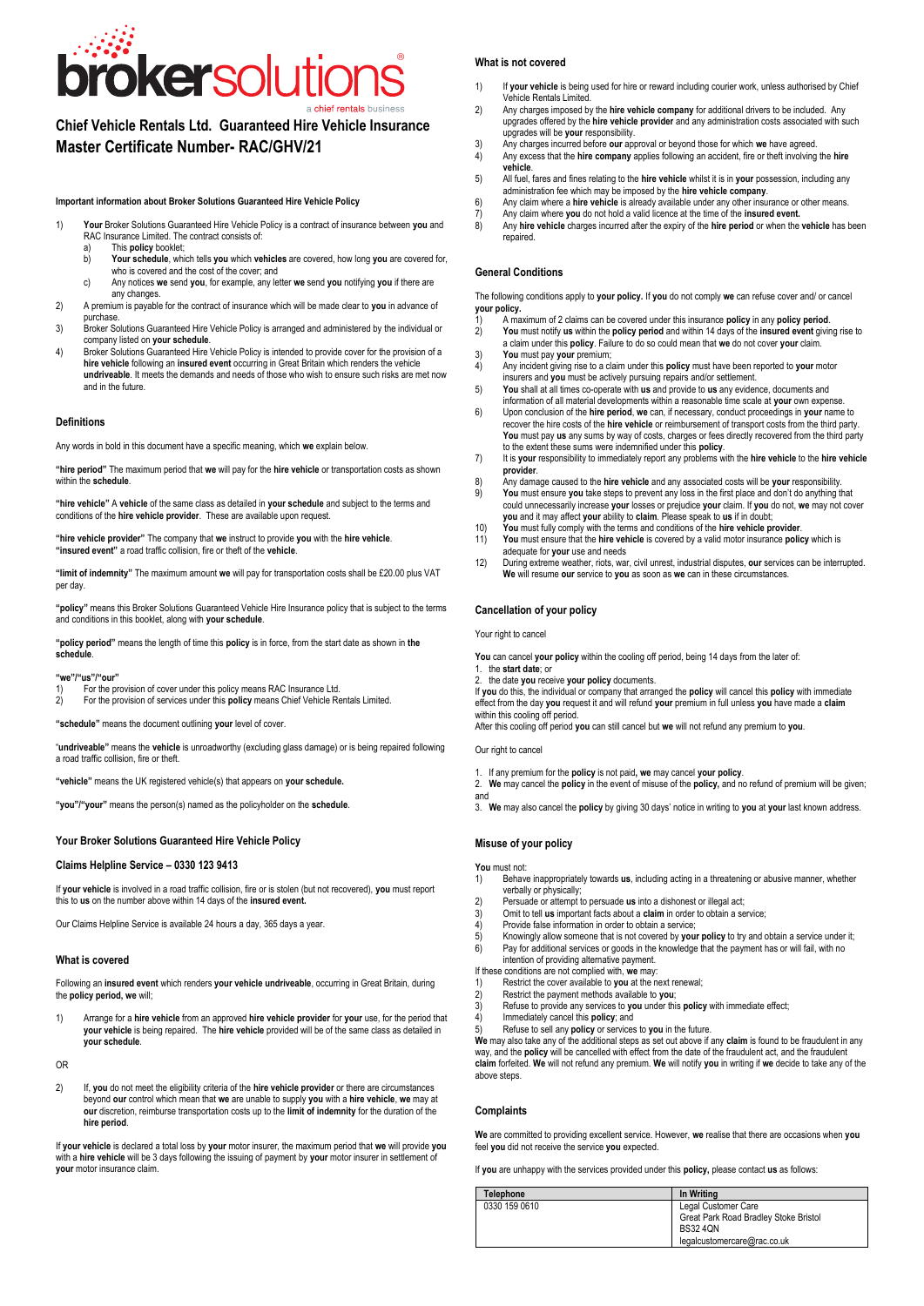**Chief Vehicle Rentals Ltd. Guaranteed Hire Vehicle Insurance Master Certificate Number- RAC/GHV/21**

**Important information about Broker Solutions Guaranteed Hire Vehicle Policy**

- 1) **Your** Broker Solutions Guaranteed Hire Vehicle Policy is a contract of insurance between **you** and RAC Insurance Limited. The contract consists of:
	- a) This **policy** booklet;<br>b) Your schedule, whi
	- b) **Your schedule**, which tells **you** which **vehicles** are covered, how long **you** are covered for, who is covered and the cost of the cover; and c) Any notices **we** send **you**, for example, any letter **we** send **you** notifying **you** if there are
	- any changes.
- 2) A premium is payable for the contract of insurance which will be made clear to **you** in advance of purchase.
- 3) Broker Solutions Guaranteed Hire Vehicle Policy is arranged and administered by the individual or company listed on **your schedule**.
- 4) Broker Solutions Guaranteed Hire Vehicle Policy is intended to provide cover for the provision of a **hire vehicle** following an **insured event** occurring in Great Britain which renders the vehicle **undriveable**. It meets the demands and needs of those who wish to ensure such risks are met now and in the future.

## **Definitions**

Any words in bold in this document have a specific meaning, which **we** explain below.

**"hire period"** The maximum period that **we** will pay for the **hire vehicle** or transportation costs as shown within the **schedule**.

**"hire vehicle"** A **vehicle** of the same class as detailed in **your schedule** and subject to the terms and conditions of the **hire vehicle provider**. These are available upon request.

**"hire vehicle provider"** The company that **we** instruct to provide **you** with the **hire vehicle**. **"insured event"** a road traffic collision, fire or theft of the **vehicle**.

**"limit of indemnity"** The maximum amount **we** will pay for transportation costs shall be £20.00 plus VAT per day.

**"policy"** means this Broker Solutions Guaranteed Vehicle Hire Insurance policy that is subject to the terms and conditions in this booklet, along with **your schedule**.

**"policy period"** means the length of time this **policy** is in force, from the start date as shown in **the schedule**.

#### **"we"/"us"/"our"**

1) For the provision of cover under this policy means RAC Insurance Ltd.<br>2) For the provision of services under this **policy** means Chief Vehicle Re

2) For the provision of services under this **policy** means Chief Vehicle Rentals Limited.

**"schedule"** means the document outlining **your** level of cover.

"**undriveable"** means the **vehicle** is unroadworthy (excluding glass damage) or is being repaired following a road traffic collision, fire or theft.

**"vehicle"** means the UK registered vehicle(s) that appears on **your schedule.**

**"you"/"your"** means the person(s) named as the policyholder on the **schedule**.

# **Your Broker Solutions Guaranteed Hire Vehicle Policy**

## **Claims Helpline Service – 0330 123 9413**

If **your vehicle** is involved in a road traffic collision, fire or is stolen (but not recovered), **you** must report this to **us** on the number above within 14 days of the **insured event.**

Our Claims Helpline Service is available 24 hours a day, 365 days a year.

## **What is covered**

Following an **insured event** which renders **your vehicle undriveable**, occurring in Great Britain, during the **policy period, we** will;

1) Arrange for a **hire vehicle** from an approved **hire vehicle provider** for **your** use, for the period that **your vehicle** is being repaired. The **hire vehicle** provided will be of the same class as detailed in **your schedule**.

OR

2) If, **you** do not meet the eligibility criteria of the **hire vehicle provider** or there are circumstances beyond our control which mean that we are unable to supply you with a hire vehicle, we may at<br>our discretion, reimburse transportation costs up to the limit of indemnity for the duration of the **hire period**.

If **your vehicle** is declared a total loss by **your** motor insurer, the maximum period that **we** will provide **you** with a **hire vehicle** will be 3 days following the issuing of payment by **your** motor insurer in settlement of **your** motor insurance claim.

# **What is not covered**

- 1) If **your vehicle** is being used for hire or reward including courier work, unless authorised by Chief Vehicle Rentals Limited.
- 2) Any charges imposed by the **hire vehicle company** for additional drivers to be included. Any upgrades offered by the **hire vehicle provider** and any administration costs associated with such upgrades will be **your** responsibility.
- 3) Any charges incurred before **our** approval or beyond those for which **we** have agreed. 4) Any excess that the **hire company** applies following an accident, fire or theft involving the **hire**
- **vehicle**.
- 5) All fuel, fares and fines relating to the **hire vehicle** whilst it is in **your** possession, including any administration fee which may be imposed by the **hire vehicle company**.
- 6) Any claim where a **hire vehicle** is already available under any other insurance or other means.
- 7) Any claim where **you** do not hold a valid licence at the time of the **insured event.**<br>8) Any **hire vehicle** charges incurred after the expiry of the **hire period** or when the 8) Any **hire vehicle** charges incurred after the expiry of the **hire period** or when the **vehicle** has been repaired

## **General Conditions**

- 1) A maximum of 2 claims can be covered under this insurance **policy** in any **policy period**.
- 2) **You** must notify **us** within the **policy period** and within 14 days of the **insured event** giving rise to a claim under this **policy**. Failure to do so could mean that **we** do not cover **your** claim.
- 3) You must pay your premium;<br>4) Any incident giving rise to a cl 4) Any incident giving rise to a claim under this **policy** must have been reported to **your** motor insurers and **you** must be actively pursuing repairs and/or settlement.
- 5) **You** shall at all times co-operate with **us** and provide to **us** any evidence, documents and
- information of all material developments within a reasonable time scale at **your** own expense. 6) Upon conclusion of the **hire period**, **we** can, if necessary, conduct proceedings in **your** name to
- recover the hire costs of the **hire vehicle** or reimbursement of transport costs from the third party. **You** must pay **us** any sums by way of costs, charges or fees directly recovered from the third party
- to the extent these sums were indemnified under this **policy**. 7) It is **your** responsibility to immediately report any problems with the **hire vehicle** to the **hire vehicle provider**.
- 8) Any damage caused to the **hire vehicle** and any associated costs will be **your** responsibility.
- 9) **You** must ensure **you** take steps to prevent any loss in the first place and don't do anything that could unnecessarily increase **your** losses or prejudice **your** claim. If **you** do not, **we** may not cover **you** and it may affect **your** ability to **claim**. Please speak to **us** if in doubt;
- 10) **You** must fully comply with the terms and conditions of the **hire vehicle provider**.<br>11) **You** must ensure that the **hire vehicle** is covered by a valid motor insurance **political**. 11) **You** must ensure that the **hire vehicle** is covered by a valid motor insurance **policy** which is adequate for **your** use and needs
- 12) During extreme weather, riots, war, civil unrest, industrial disputes, **our** services can be interrupted. **We** will resume **our** service to **you** as soon as **we** can in these circumstances.

## **Cancellation of your policy**

### Our right to cancel

- 1. If any premium for the **policy** is not paid**, we** may cancel **your policy**.
- 2. **We** may cancel the **policy** in the event of misuse of the **policy,** and no refund of premium will be given; and
- 3. **We** may also cancel the **policy** by giving 30 days' notice in writing to **you** at **your** last known address.

# **Misuse of your policy**

- You must not:<br>1) Behav
- 1) Behave inappropriately towards **us**, including acting in a threatening or abusive manner, whether verbally or physically;
- 2) Persuade or attempt to persuade us into a dishonest or illegal act;<br>3) Omit to tell us important facts about a claim in order to obtain a se<br>4) Provide false information in order to obtain a service:
- 3) Omit to tell **us** important facts about a **claim** in order to obtain a service;
- 4) Provide false information in order to obtain a service;<br>5) Knowingly allow someone that is not covered by you
- 5) Knowingly allow someone that is not covered by **your policy** to try and obtain a service under it;<br>
6) Pay for additional services or goods in the knowledge that the payment has or will fail with no Pay for additional services or goods in the knowledge that the payment has or will fail, with no intention of providing alternative payment.
- If these conditions are not complied with, **we** may:
- 1) Restrict the cover available to **you** at the next renewal;
- 
- 2) Restrict the payment methods available to **you**; 3) Refuse to provide any services to **you** under this **policy** with immediate effect;
- 4) Immediately cancel this **policy**; and
- 

# **Complaints**

| ®                                     |                                                                                                          | What is not covered                                                                                                                                                                                                         |                                                                                                                                                                                                           |  |
|---------------------------------------|----------------------------------------------------------------------------------------------------------|-----------------------------------------------------------------------------------------------------------------------------------------------------------------------------------------------------------------------------|-----------------------------------------------------------------------------------------------------------------------------------------------------------------------------------------------------------|--|
| נ                                     | 1)                                                                                                       |                                                                                                                                                                                                                             | If your vehicle is being used for hire or reward including courier work, unless authorised by Chief                                                                                                       |  |
|                                       |                                                                                                          | Vehicle Rentals Limited.                                                                                                                                                                                                    |                                                                                                                                                                                                           |  |
| SS                                    | 2)                                                                                                       |                                                                                                                                                                                                                             | Any charges imposed by the hire vehicle company for additional drivers to be included. Any<br>upgrades offered by the hire vehicle provider and any administration costs associated with such             |  |
| rance                                 |                                                                                                          | upgrades will be your responsibility.                                                                                                                                                                                       |                                                                                                                                                                                                           |  |
|                                       | 3)<br>4)                                                                                                 | Any charges incurred before our approval or beyond those for which we have agreed.                                                                                                                                          | Any excess that the hire company applies following an accident, fire or theft involving the hire                                                                                                          |  |
|                                       |                                                                                                          | vehicle.                                                                                                                                                                                                                    |                                                                                                                                                                                                           |  |
|                                       | 5)                                                                                                       | administration fee which may be imposed by the hire vehicle company.                                                                                                                                                        | All fuel, fares and fines relating to the hire vehicle whilst it is in your possession, including any                                                                                                     |  |
|                                       | 6)                                                                                                       |                                                                                                                                                                                                                             | Any claim where a hire vehicle is already available under any other insurance or other means.                                                                                                             |  |
| een you and                           | 7)<br>8)                                                                                                 | Any claim where you do not hold a valid licence at the time of the insured event.                                                                                                                                           | Any hire vehicle charges incurred after the expiry of the hire period or when the vehicle has been                                                                                                        |  |
|                                       |                                                                                                          | repaired.                                                                                                                                                                                                                   |                                                                                                                                                                                                           |  |
| e covered for,                        |                                                                                                          |                                                                                                                                                                                                                             |                                                                                                                                                                                                           |  |
| f there are                           |                                                                                                          | <b>General Conditions</b>                                                                                                                                                                                                   |                                                                                                                                                                                                           |  |
|                                       |                                                                                                          |                                                                                                                                                                                                                             | The following conditions apply to your policy. If you do not comply we can refuse cover and/ or cancel                                                                                                    |  |
| advance of                            | your policy.                                                                                             |                                                                                                                                                                                                                             |                                                                                                                                                                                                           |  |
| individual or                         | 1)<br>2)                                                                                                 | A maximum of 2 claims can be covered under this insurance <b>policy</b> in any <b>policy period</b> .                                                                                                                       | You must notify us within the policy period and within 14 days of the insured event giving rise to                                                                                                        |  |
| rovision of a                         |                                                                                                          | a claim under this policy. Failure to do so could mean that we do not cover your claim.                                                                                                                                     |                                                                                                                                                                                                           |  |
| ehicle                                | 3)<br>4)                                                                                                 | You must pay your premium;                                                                                                                                                                                                  | Any incident giving rise to a claim under this <b>policy</b> must have been reported to your motor                                                                                                        |  |
| s are met now                         |                                                                                                          | insurers and you must be actively pursuing repairs and/or settlement.                                                                                                                                                       |                                                                                                                                                                                                           |  |
|                                       | 5)                                                                                                       | You shall at all times co-operate with us and provide to us any evidence, documents and                                                                                                                                     | information of all material developments within a reasonable time scale at your own expense.                                                                                                              |  |
|                                       | 6)                                                                                                       |                                                                                                                                                                                                                             | Upon conclusion of the hire period, we can, if necessary, conduct proceedings in your name to                                                                                                             |  |
|                                       |                                                                                                          |                                                                                                                                                                                                                             | recover the hire costs of the hire vehicle or reimbursement of transport costs from the third party.<br>You must pay us any sums by way of costs, charges or fees directly recovered from the third party |  |
|                                       |                                                                                                          | to the extent these sums were indemnified under this policy.                                                                                                                                                                |                                                                                                                                                                                                           |  |
| ts as shown                           | 7)                                                                                                       | provider.                                                                                                                                                                                                                   | It is your responsibility to immediately report any problems with the hire vehicle to the hire vehicle                                                                                                    |  |
|                                       | 8)                                                                                                       |                                                                                                                                                                                                                             | Any damage caused to the hire vehicle and any associated costs will be your responsibility.                                                                                                               |  |
| erms and                              | 9)                                                                                                       |                                                                                                                                                                                                                             | You must ensure you take steps to prevent any loss in the first place and don't do anything that<br>could unnecessarily increase your losses or prejudice your claim. If you do not, we may not cover     |  |
|                                       |                                                                                                          | you and it may affect your ability to claim. Please speak to us if in doubt;                                                                                                                                                |                                                                                                                                                                                                           |  |
|                                       | 10)<br>11)                                                                                               | You must fully comply with the terms and conditions of the hire vehicle provider.                                                                                                                                           | You must ensure that the hire vehicle is covered by a valid motor insurance policy which is                                                                                                               |  |
|                                       |                                                                                                          | adequate for your use and needs                                                                                                                                                                                             |                                                                                                                                                                                                           |  |
| 00 plus VAT                           | 12)                                                                                                      | We will resume our service to you as soon as we can in these circumstances.                                                                                                                                                 | During extreme weather, riots, war, civil unrest, industrial disputes, our services can be interrupted.                                                                                                   |  |
|                                       |                                                                                                          |                                                                                                                                                                                                                             |                                                                                                                                                                                                           |  |
| ct to the terms                       |                                                                                                          | <b>Cancellation of your policy</b>                                                                                                                                                                                          |                                                                                                                                                                                                           |  |
|                                       | Your right to cancel                                                                                     |                                                                                                                                                                                                                             |                                                                                                                                                                                                           |  |
| in the                                |                                                                                                          |                                                                                                                                                                                                                             |                                                                                                                                                                                                           |  |
|                                       |                                                                                                          | You can cancel your policy within the cooling off period, being 14 days from the later of:<br>1. the start date: or                                                                                                         |                                                                                                                                                                                                           |  |
|                                       |                                                                                                          | 2. the date you receive your policy documents.                                                                                                                                                                              |                                                                                                                                                                                                           |  |
|                                       |                                                                                                          | If you do this, the individual or company that arranged the policy will cancel this policy with immediate<br>effect from the day you request it and will refund your premium in full unless you have made a claim           |                                                                                                                                                                                                           |  |
|                                       |                                                                                                          | within this cooling off period.                                                                                                                                                                                             |                                                                                                                                                                                                           |  |
|                                       |                                                                                                          | After this cooling off period you can still cancel but we will not refund any premium to you.                                                                                                                               |                                                                                                                                                                                                           |  |
| ired following                        |                                                                                                          | Our right to cancel                                                                                                                                                                                                         |                                                                                                                                                                                                           |  |
|                                       |                                                                                                          | 1. If any premium for the <b>policy</b> is not paid, we may cancel your policy.                                                                                                                                             |                                                                                                                                                                                                           |  |
|                                       | and                                                                                                      | 2. We may cancel the policy in the event of misuse of the policy, and no refund of premium will be given;                                                                                                                   |                                                                                                                                                                                                           |  |
|                                       | 3. We may also cancel the policy by giving 30 days' notice in writing to you at your last known address. |                                                                                                                                                                                                                             |                                                                                                                                                                                                           |  |
|                                       |                                                                                                          |                                                                                                                                                                                                                             |                                                                                                                                                                                                           |  |
|                                       |                                                                                                          | Misuse of your policy                                                                                                                                                                                                       |                                                                                                                                                                                                           |  |
|                                       | You must not:                                                                                            |                                                                                                                                                                                                                             |                                                                                                                                                                                                           |  |
| nust report                           | 1)                                                                                                       | verbally or physically;                                                                                                                                                                                                     | Behave inappropriately towards us, including acting in a threatening or abusive manner, whether                                                                                                           |  |
|                                       | 2)                                                                                                       | Persuade or attempt to persuade us into a dishonest or illegal act;                                                                                                                                                         |                                                                                                                                                                                                           |  |
|                                       | 3)                                                                                                       | Omit to tell us important facts about a claim in order to obtain a service;<br>4)<br>Provide false information in order to obtain a service;                                                                                |                                                                                                                                                                                                           |  |
|                                       | 5)                                                                                                       | Knowingly allow someone that is not covered by your policy to try and obtain a service under it;                                                                                                                            |                                                                                                                                                                                                           |  |
|                                       | 6)                                                                                                       | Pay for additional services or goods in the knowledge that the payment has or will fail, with no<br>intention of providing alternative payment.                                                                             |                                                                                                                                                                                                           |  |
|                                       | If these conditions are not complied with, we may:                                                       |                                                                                                                                                                                                                             |                                                                                                                                                                                                           |  |
| ain, during                           | 1)                                                                                                       | Restrict the cover available to you at the next renewal;<br>2)<br>Restrict the payment methods available to you;                                                                                                            |                                                                                                                                                                                                           |  |
|                                       | 3)                                                                                                       | Refuse to provide any services to you under this policy with immediate effect;                                                                                                                                              |                                                                                                                                                                                                           |  |
| he period that                        | 4)                                                                                                       | Immediately cancel this policy; and                                                                                                                                                                                         |                                                                                                                                                                                                           |  |
| s detailed in                         | 5)                                                                                                       | Refuse to sell any policy or services to you in the future.                                                                                                                                                                 | We may also take any of the additional steps as set out above if any claim is found to be fraudulent in any                                                                                               |  |
|                                       |                                                                                                          | way, and the policy will be cancelled with effect from the date of the fraudulent act, and the fraudulent<br>claim forfeited. We will not refund any premium. We will notify you in writing if we decide to take any of the |                                                                                                                                                                                                           |  |
|                                       | above steps.                                                                                             |                                                                                                                                                                                                                             |                                                                                                                                                                                                           |  |
| umstances<br>we may at                |                                                                                                          |                                                                                                                                                                                                                             |                                                                                                                                                                                                           |  |
| ation of the                          | Complaints                                                                                               |                                                                                                                                                                                                                             |                                                                                                                                                                                                           |  |
|                                       |                                                                                                          |                                                                                                                                                                                                                             | We are committed to providing excellent service. However, we realise that there are occasions when you                                                                                                    |  |
| Il provide <b>you</b><br>ettlement of |                                                                                                          | feel you did not receive the service you expected.                                                                                                                                                                          |                                                                                                                                                                                                           |  |
|                                       |                                                                                                          | If you are unhappy with the services provided under this policy, please contact us as follows:                                                                                                                              |                                                                                                                                                                                                           |  |
|                                       |                                                                                                          | Telephone                                                                                                                                                                                                                   | In Writing                                                                                                                                                                                                |  |
|                                       |                                                                                                          | 0330 159 0610                                                                                                                                                                                                               | Legal Customer Care                                                                                                                                                                                       |  |
|                                       |                                                                                                          |                                                                                                                                                                                                                             | Great Park Road Bradley Stoke Bristol<br><b>BS32 4QN</b>                                                                                                                                                  |  |
|                                       |                                                                                                          |                                                                                                                                                                                                                             | legalcustomercare@rac.co.uk                                                                                                                                                                               |  |